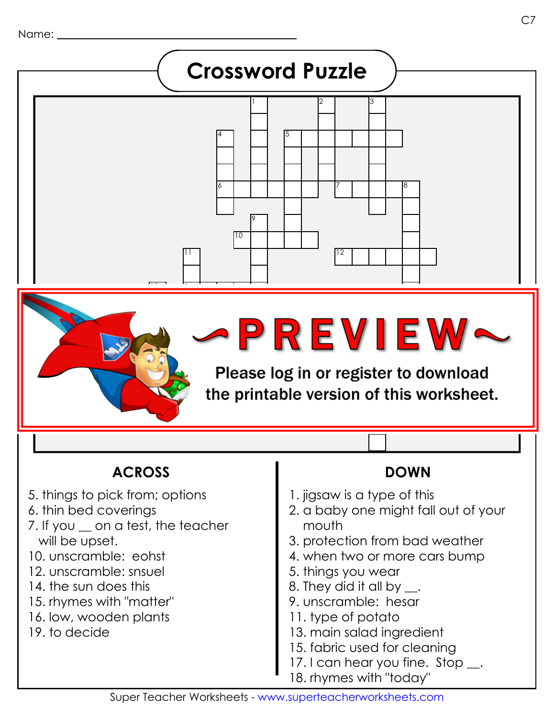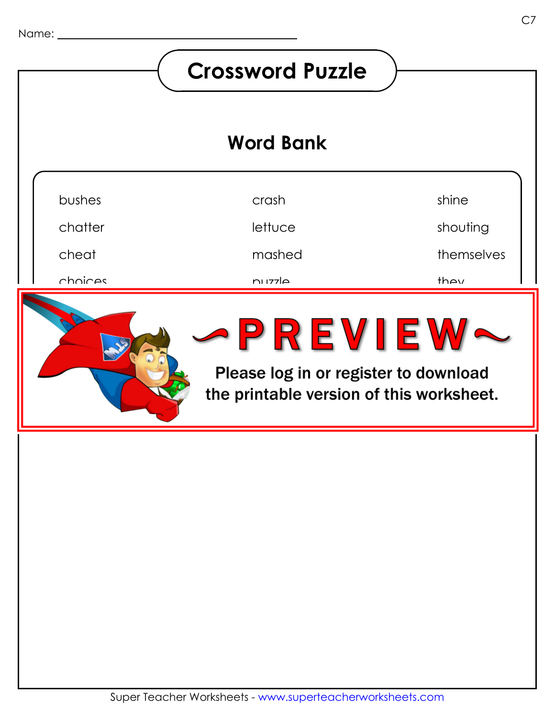## **Crossword Puzzle Word Bank**bushes crash shine chatter shouting **lettuce** themselves cheat mashed choices they puzzle choose and cloth ZKEVIEW clothes shelter aufstaten te der under the printable version of this worksheet.